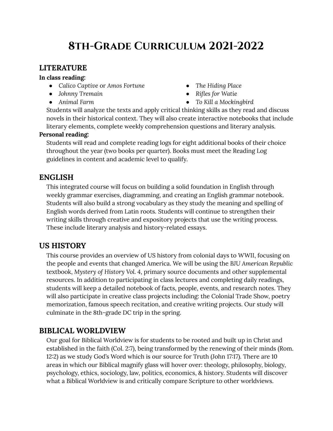# **8th-Grade Curriculum 2021-2022**

# **LITERATURE**

#### **In class reading:**

- *● Calico Captive* or *Amos Fortune*
- *● Johnny Tremain*
- *● Animal Farm*
- *● The Hiding Place*
- *● Rifles for Watie*
- *● To Kill a Mockingbird*

Students will analyze the texts and apply critical thinking skills as they read and discuss novels in their historical context. They will also create interactive notebooks that include literary elements, complete weekly comprehension questions and literary analysis.

#### **Personal reading:**

Students will read and complete reading logs for eight additional books of their choice throughout the year (two books per quarter). Books must meet the Reading Log guidelines in content and academic level to qualify.

## **ENGLISH**

This integrated course will focus on building a solid foundation in English through weekly grammar exercises, diagramming, and creating an English grammar notebook. Students will also build a strong vocabulary as they study the meaning and spelling of English words derived from Latin roots. Students will continue to strengthen their writing skills through creative and expository projects that use the writing process. These include literary analysis and history-related essays.

# **US HISTORY**

This course provides an overview of US history from colonial days to WWII, focusing on the people and events that changed America. We will be using the *BJU American Republic* textbook, *Mystery of History Vol. 4*, primary source documents and other supplemental resources. In addition to participating in class lectures and completing daily readings, students will keep a detailed notebook of facts, people, events, and research notes. They will also participate in creative class projects including: the Colonial Trade Show, poetry memorization, famous speech recitation, and creative writing projects. Our study will culminate in the 8th-grade DC trip in the spring.

## **BIBLICAL WORLDVIEW**

Our goal for Biblical Worldview is for students to be rooted and built up in Christ and established in the faith (Col. 2:7), being transformed by the renewing of their minds (Rom. 12:2) as we study God's Word which is our source for Truth (John 17:17). There are 10 areas in which our Biblical magnify glass will hover over: theology, philosophy, biology, psychology, ethics, sociology, law, politics, economics, & history. Students will discover what a Biblical Worldview is and critically compare Scripture to other worldviews.